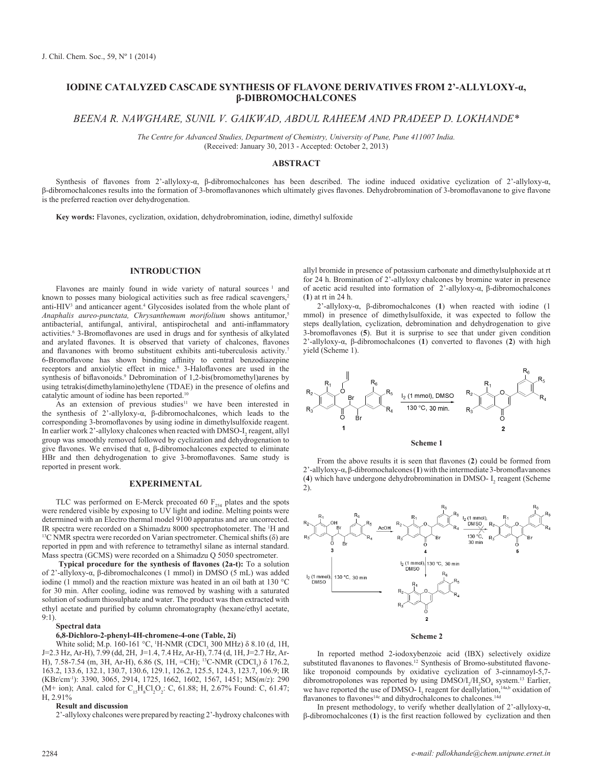# **IODINE CATALYZED CASCADE SYNTHESIS OF FLAVONE DERIVATIVES FROM 2'-ALLYLOXY-α, β-DIBROMOCHALCONES**

*BEENA R. NAWGHARE, SUNIL V. GAIKWAD, ABDUL RAHEEM AND PRADEEP D. LOKHANDE\**

*The Centre for Advanced Studies, Department of Chemistry, University of Pune, Pune 411007 India.* (Received: January 30, 2013 - Accepted: October 2, 2013)

## **ABSTRACT**

Synthesis of flavones from 2'-allyloxy-α, β-dibromochalcones has been described. The iodine induced oxidative cyclization of 2'-allyloxy-α, β-dibromochalcones results into the formation of 3-bromoflavanones which ultimately gives flavones. Dehydrobromination of 3-bromoflavanone to give flavone is the preferred reaction over dehydrogenation.

**Key words:** Flavones, cyclization, oxidation, dehydrobromination, iodine, dimethyl sulfoxide

## **INTRODUCTION**

Flavones are mainly found in wide variety of natural sources<sup>1</sup> and known to posses many biological activities such as free radical scavengers,<sup>2</sup> anti- $HIV<sup>3</sup>$  and anticancer agent.<sup>4</sup> Glycosides isolated from the whole plant of *Anaphalis aureo-punctata, Chrysanthemum morifolium* shows antitumor,<sup>5</sup> antibacterial, antifungal, antiviral, antispirochetal and anti-inflammatory activities.<sup>6</sup> 3-Bromoflavones are used in drugs and for synthesis of alkylated and arylated flavones. It is observed that variety of chalcones, flavones and flavanones with bromo substituent exhibits anti-tuberculosis activity.<sup>7</sup> 6-Bromoflavone has shown binding affinity to central benzodiazepine receptors and anxiolytic effect in mice.<sup>8</sup> 3-Haloflavones are used in the synthesis of biflavonoids.<sup>9</sup> Debromination of 1,2-bis(bromomethyl)arenes by using tetrakis(dimethylamino)ethylene (TDAE) in the presence of olefins and catalytic amount of iodine has been reported.<sup>10</sup>

As an extension of previous studies<sup>11</sup> we have been interested in the synthesis of 2'-allyloxy-α, β-dibromochalcones, which leads to the corresponding 3-bromoflavones by using iodine in dimethylsulfoxide reagent. In earlier work 2'-allyloxy chalcones when reacted with DMSO- $I_2$  reagent, allyl group was smoothly removed followed by cyclization and dehydrogenation to give flavones. We envised that α, β-dibromochalcones expected to eliminate HBr and then dehydrogenation to give 3-bromoflavones. Same study is reported in present work.

#### **EXPERIMENTAL**

TLC was performed on E-Merck precoated 60  $F_{254}$  plates and the spots were rendered visible by exposing to UV light and iodine. Melting points were determined with an Electro thermal model 9100 apparatus and are uncorrected. IR spectra were recorded on a Shimadzu 8000 spectrophotometer. The <sup>1</sup>H and  $^{13}$ C NMR spectra were recorded on Varian spectrometer. Chemical shifts ( $\delta$ ) are reported in ppm and with reference to tetramethyl silane as internal standard. Mass spectra (GCMS) were recorded on a Shimadzu Q 5050 spectrometer.

 **Typical procedure for the synthesis of flavones (2a-t):** To a solution of 2'-allyloxy-α, β-dibromochalcones (1 mmol) in DMSO (5 mL) was added iodine (1 mmol) and the reaction mixture was heated in an oil bath at 130 °C for 30 min. After cooling, iodine was removed by washing with a saturated solution of sodium thiosulphate and water. The product was then extracted with ethyl acetate and purified by column chromatography (hexane/ethyl acetate, 9:1).

# **Spectral data**

### **6,8-Dichloro-2-phenyl-4H-chromene-4-one (Table, 2i)**

White solid; M.p. 160-161 °C, <sup>1</sup>H-NMR (CDCl<sub>3</sub> 300 MHz)  $\delta$  8.10 (d, 1H, J=2.3 Hz, Ar-H), 7.99 (dd, 2H, J=1.4, 7.4 Hz, Ar-H), 7.74 (d, 1H, J=2.7 Hz, Ar-H), 7.58-7.54 (m, 3H, Ar-H), 6.86 (S, 1H, =CH); <sup>13</sup>C-NMR (CDCl<sub>3</sub>) δ 176.2, 163.2, 133.6, 132.1, 130.7, 130.6, 129.1, 126.2, 125.5, 124.3, 123.7, 106.9; IR (KBr/cm-1): 3390, 3065, 2914, 1725, 1662, 1602, 1567, 1451; MS(*m*/*z*): 290 (M+ ion); Anal. calcd for  $C_{15}H_{8}Cl_{2}O_{2}$ : C, 61.88; H, 2.67% Found: C, 61.47; H, 2.91%

#### **Result and discussion**

2'-allyloxy chalcones were prepared by reacting 2'-hydroxy chalcones with

allyl bromide in presence of potassium carbonate and dimethylsulphoxide at rt for 24 h. Bromination of 2'-allyloxy chalcones by bromine water in presence of acetic acid resulted into formation of 2'-allyloxy-α, β-dibromochalcones (**1**) at rt in 24 h.

2'-allyloxy-α, β-dibromochalcones (**1**) when reacted with iodine (1 mmol) in presence of dimethylsulfoxide, it was expected to follow the steps deallylation, cyclization, debromination and dehydrogenation to give 3-bromoflavones (**5**). But it is surprise to see that under given condition 2'-allyloxy-α, β-dibromochalcones (**1**) converted to flavones (**2**) with high yield (Scheme 1).







In reported method 2-iodoxybenzoic acid (IBX) selectively oxidize substituted flavanones to flavones.<sup>12</sup> Synthesis of Bromo-substituted flavonelike troponoid compounds by oxidative cyclization of 3-cinnamoyl-5,7 dibromotropolones was reported by using  $DMSO/I_2/H_2SO_4$  system.<sup>13</sup> Earlier, we have reported the use of DMSO-  $I_2$  reagent for deallylation,<sup>14a,b</sup> oxidation of flavanones to flavones<sup>14c</sup> and dihydrochalcones to chalcones.<sup>14d</sup>

In present methodology, to verify whether deallylation of 2'-allyloxy-α, β-dibromochalcones (**1**) is the first reaction followed by cyclization and then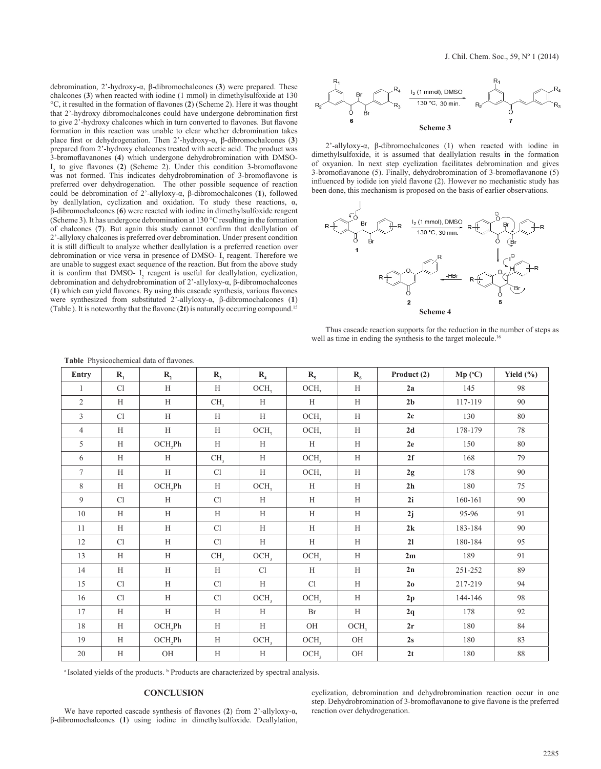debromination, 2'-hydroxy-α, β-dibromochalcones (**3**) were prepared. These chalcones (**3**) when reacted with iodine (1 mmol) in dimethylsulfoxide at 130 °C, it resulted in the formation of flavones (**2**) (Scheme 2). Here it was thought that 2'-hydroxy dibromochalcones could have undergone debromination first to give 2'-hydroxy chalcones which in turn converted to flavones. But flavone formation in this reaction was unable to clear whether debromination takes place first or dehydrogenation. Then 2'-hydroxy-α, β-dibromochalcones (**3**) prepared from 2'-hydroxy chalcones treated with acetic acid. The product was 3-bromoflavanones (**4**) which undergone dehydrobromination with DMSO- $I_2$  to give flavones (2) (Scheme 2). Under this condition 3-bromoflavone was not formed. This indicates dehydrobromination of 3-bromoflavone is preferred over dehydrogenation. The other possible sequence of reaction could be debromination of 2'-allyloxy-α, β-dibromochalcones (**1**), followed by deallylation, cyclization and oxidation. To study these reactions, α, β-dibromochalcones (**6**) were reacted with iodine in dimethylsulfoxide reagent (Scheme 3). It has undergone debromination at 130 °C resulting in the formation of chalcones (**7**). But again this study cannot confirm that deallylation of 2'-allyloxy chalcones is preferred over debromination. Under present condition it is still difficult to analyze whether deallylation is a preferred reaction over debromination or vice versa in presence of DMSO- $I_2$  reagent. Therefore we are unable to suggest exact sequence of the reaction. But from the above study it is confirm that DMSO- $I_2$  reagent is useful for deallylation, cyclization, debromination and dehydrobromination of 2'-allyloxy-α, β-dibromochalcones (**1**) which can yield flavones. By using this cascade synthesis, various flavones were synthesized from substituted 2'-allyloxy-α, β-dibromochalcones (**1**) (Table ). It is noteworthy that the flavone (**2t**) is naturally occurring compound.<sup>15</sup>



2'-allyloxy-α, β-dibromochalcones (1) when reacted with iodine in dimethylsulfoxide, it is assumed that deallylation results in the formation of oxyanion. In next step cyclization facilitates debromination and gives 3-bromoflavanone (5). Finally, dehydrobromination of 3-bromoflavanone (5) influenced by iodide ion yield flavone (2). However no mechanistic study has been done, this mechanism is proposed on the basis of earlier observations.



Thus cascade reaction supports for the reduction in the number of steps as well as time in ending the synthesis to the target molecule.<sup>16</sup>

| Entry          | $R_{1}$ | $R_{2}$     | $R_{3}$         | $R_{4}$          | $R_{5}$          | $R_{6}$          | Product (2)    | $Mp$ (°C) | Yield $(\%)$ |
|----------------|---------|-------------|-----------------|------------------|------------------|------------------|----------------|-----------|--------------|
| $\mathbf{1}$   | Cl      | H           | H               | OCH <sub>3</sub> | OCH <sub>3</sub> | H                | 2a             | 145       | 98           |
| $\overline{2}$ | H       | H           | CH <sub>3</sub> | H                | H                | H                | 2 <sub>b</sub> | 117-119   | 90           |
| $\overline{3}$ | Cl      | H           | H               | $\,$ H $\,$      | OCH <sub>3</sub> | $\rm H$          | 2c             | 130       | 80           |
| $\overline{4}$ | H       | $\mathbf H$ | H               | OCH <sub>3</sub> | OCH <sub>3</sub> | $\mathbf H$      | 2d             | 178-179   | 78           |
| 5              | H       | OCH,Ph      | H               | H                | H                | $\rm H$          | 2e             | 150       | 80           |
| 6              | H       | H           | CH <sub>3</sub> | H                | OCH <sub>3</sub> | $\mathbf H$      | 2f             | 168       | 79           |
| $\tau$         | H       | H           | Cl              | H                | OCH <sub>3</sub> | H                | 2g             | 178       | 90           |
| 8              | H       | OCH,Ph      | H               | OCH <sub>3</sub> | H                | H                | 2 <sub>h</sub> | 180       | 75           |
| 9              | Cl      | H           | Cl              | H                | H                | $\rm H$          | 2i             | 160-161   | 90           |
| 10             | H       | H           | H               | H                | H                | H                | 2j             | 95-96     | 91           |
| 11             | H       | H           | Cl              | H                | $\mathbf H$      | H                | 2k             | 183-184   | 90           |
| 12             | Cl      | H           | Cl              | H                | H                | H                | 21             | 180-184   | 95           |
| 13             | H       | H           | CH <sub>3</sub> | OCH <sub>3</sub> | OCH <sub>3</sub> | $\rm H$          | 2m             | 189       | 91           |
| 14             | H       | H           | H               | Cl               | H                | $\,$ H           | 2n             | 251-252   | 89           |
| 15             | Cl      | H           | Cl              | H                | Cl               | H                | 2 <sub>o</sub> | 217-219   | 94           |
| 16             | Cl      | H           | Cl              | OCH <sub>3</sub> | OCH <sub>3</sub> | H                | 2p             | 144-146   | 98           |
| 17             | H       | $\mathbf H$ | H               | H                | Br               | H                | 2q             | 178       | 92           |
| 18             | H       | OCH,Ph      | H               | H                | OH               | OCH <sub>3</sub> | 2r             | 180       | 84           |
| 19             | H       | OCH,Ph      | H               | OCH <sub>3</sub> | OCH <sub>3</sub> | $\rm OH$         | 2s             | 180       | 83           |
| 20             | $\rm H$ | $\rm OH$    | H               | H                | OCH <sub>3</sub> | $\rm OH$         | 2t             | 180       | $88\,$       |

**Table** Physicochemical data of flavones.

<sup>a</sup> Isolated yields of the products. **b** Products are characterized by spectral analysis.

## **CONCLUSION**

We have reported cascade synthesis of flavones (**2**) from 2'-allyloxy-α, β-dibromochalcones (**1**) using iodine in dimethylsulfoxide. Deallylation, cyclization, debromination and dehydrobromination reaction occur in one step. Dehydrobromination of 3-bromoflavanone to give flavone is the preferred reaction over dehydrogenation.